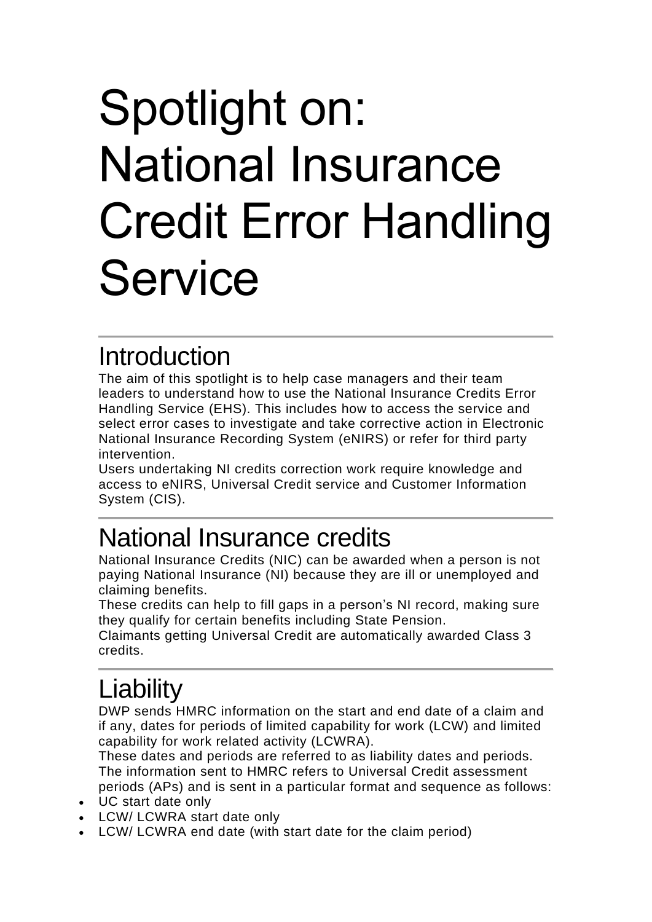# Spotlight on: National Insurance Credit Error Handling **Service**

#### **Introduction**

The aim of this spotlight is to help case managers and their team leaders to understand how to use the National Insurance Credits Error Handling Service (EHS). This includes how to access the service and select error cases to investigate and take corrective action in Electronic National Insurance Recording System (eNIRS) or refer for third party intervention.

Users undertaking NI credits correction work require knowledge and access to eNIRS, Universal Credit service and Customer Information System (CIS).

## National Insurance credits

National Insurance Credits (NIC) can be awarded when a person is not paying National Insurance (NI) because they are ill or unemployed and claiming benefits.

These credits can help to fill gaps in a person's NI record, making sure they qualify for certain benefits including State Pension.

Claimants getting Universal Credit are automatically awarded Class 3 credits.

# **Liability**

DWP sends HMRC information on the start and end date of a claim and if any, dates for periods of limited capability for work (LCW) and limited capability for work related activity (LCWRA).

These dates and periods are referred to as liability dates and periods. The information sent to HMRC refers to Universal Credit assessment periods (APs) and is sent in a particular format and sequence as follows:

- UC start date only
- LCW/ LCWRA start date only
- LCW/ LCWRA end date (with start date for the claim period)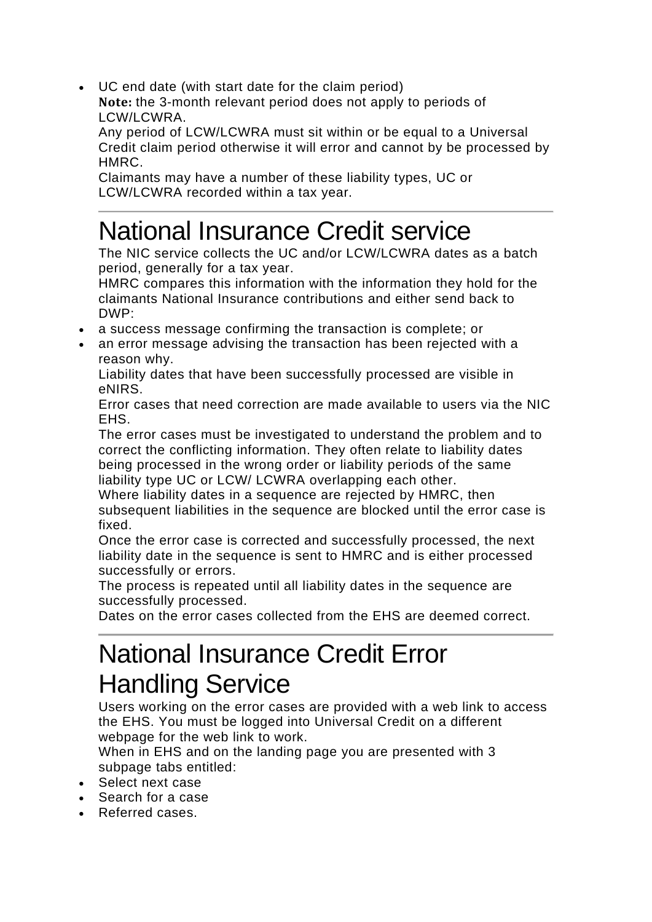• UC end date (with start date for the claim period)

**Note:** the 3-month relevant period does not apply to periods of LCW/LCWRA.

Any period of LCW/LCWRA must sit within or be equal to a Universal Credit claim period otherwise it will error and cannot by be processed by HMRC.

Claimants may have a number of these liability types, UC or LCW/LCWRA recorded within a tax year.

## National Insurance Credit service

The NIC service collects the UC and/or LCW/LCWRA dates as a batch period, generally for a tax year.

HMRC compares this information with the information they hold for the claimants National Insurance contributions and either send back to DWP:

- a success message confirming the transaction is complete; or
- an error message advising the transaction has been rejected with a reason why.

Liability dates that have been successfully processed are visible in eNIRS.

Error cases that need correction are made available to users via the NIC **FHS** 

The error cases must be investigated to understand the problem and to correct the conflicting information. They often relate to liability dates being processed in the wrong order or liability periods of the same liability type UC or LCW/ LCWRA overlapping each other.

Where liability dates in a sequence are rejected by HMRC, then subsequent liabilities in the sequence are blocked until the error case is fixed.

Once the error case is corrected and successfully processed, the next liability date in the sequence is sent to HMRC and is either processed successfully or errors.

The process is repeated until all liability dates in the sequence are successfully processed.

Dates on the error cases collected from the EHS are deemed correct.

#### National Insurance Credit Error Handling Service

Users working on the error cases are provided with a web link to access the EHS. You must be logged into Universal Credit on a different webpage for the web link to work.

When in EHS and on the landing page you are presented with 3 subpage tabs entitled:

- Select next case
- Search for a case
- Referred cases.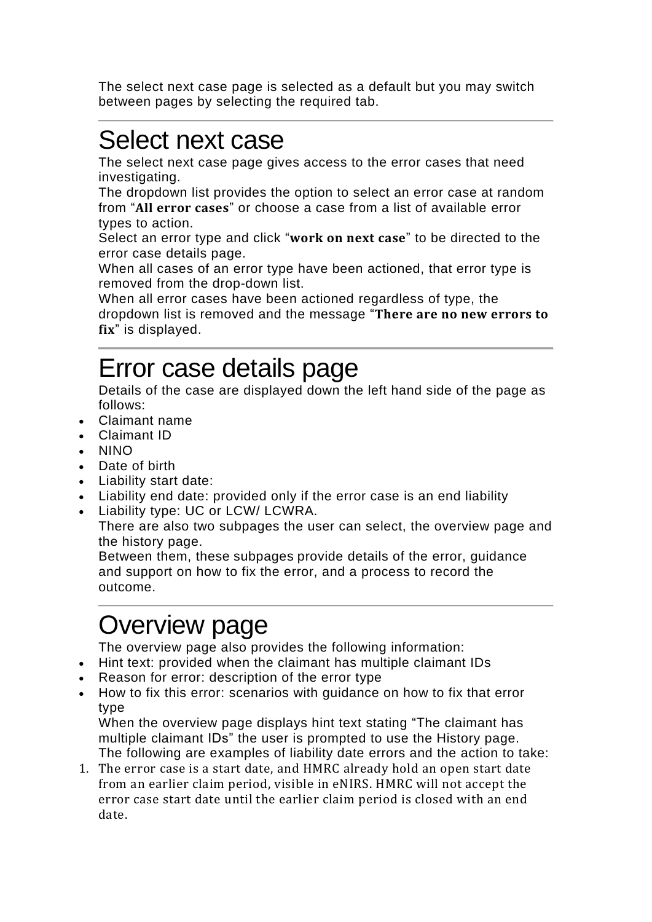The select next case page is selected as a default but you may switch between pages by selecting the required tab.

## Select next case

The select next case page gives access to the error cases that need investigating.

The dropdown list provides the option to select an error case at random from "**All error cases**" or choose a case from a list of available error types to action.

Select an error type and click "**work on next case**" to be directed to the error case details page.

When all cases of an error type have been actioned, that error type is removed from the drop-down list.

When all error cases have been actioned regardless of type, the dropdown list is removed and the message "**There are no new errors to fix**" is displayed.

## Error case details page

Details of the case are displayed down the left hand side of the page as follows:

- Claimant name
- Claimant ID
- NINO
- Date of birth
- Liability start date:
- Liability end date: provided only if the error case is an end liability
- Liability type: UC or LCW/ LCWRA.

There are also two subpages the user can select, the overview page and the history page.

Between them, these subpages provide details of the error, guidance and support on how to fix the error, and a process to record the outcome.

## Overview page

The overview page also provides the following information:

- Hint text: provided when the claimant has multiple claimant IDs
- Reason for error: description of the error type
- How to fix this error: scenarios with guidance on how to fix that error type

When the overview page displays hint text stating "The claimant has multiple claimant IDs" the user is prompted to use the History page. The following are examples of liability date errors and the action to take:

1. The error case is a start date, and HMRC already hold an open start date from an earlier claim period, visible in eNIRS. HMRC will not accept the error case start date until the earlier claim period is closed with an end date.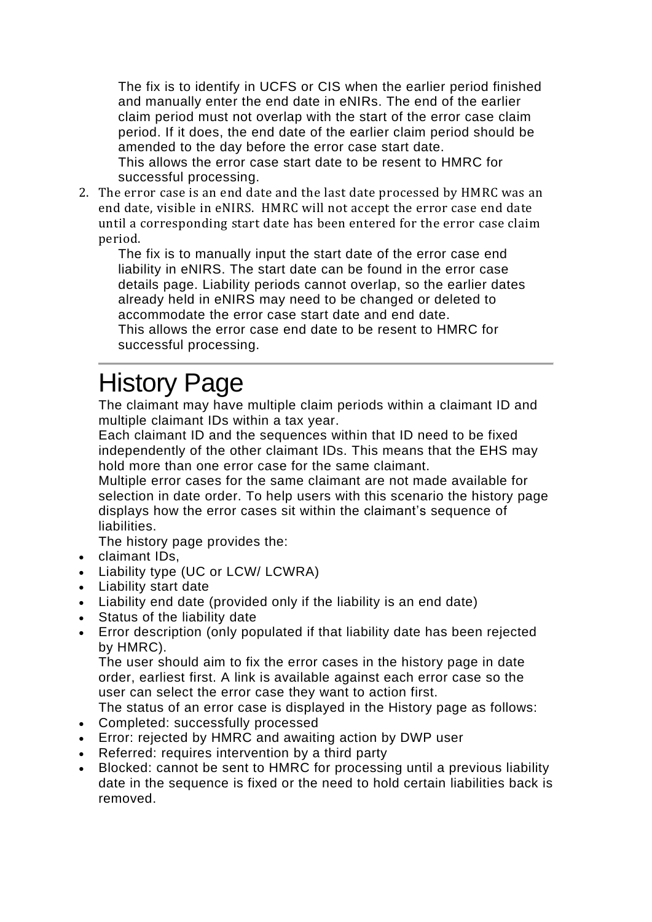The fix is to identify in UCFS or CIS when the earlier period finished and manually enter the end date in eNIRs. The end of the earlier claim period must not overlap with the start of the error case claim period. If it does, the end date of the earlier claim period should be amended to the day before the error case start date.

This allows the error case start date to be resent to HMRC for successful processing.

2. The error case is an end date and the last date processed by HMRC was an end date, visible in eNIRS. HMRC will not accept the error case end date until a corresponding start date has been entered for the error case claim period.

The fix is to manually input the start date of the error case end liability in eNIRS. The start date can be found in the error case details page. Liability periods cannot overlap, so the earlier dates already held in eNIRS may need to be changed or deleted to accommodate the error case start date and end date. This allows the error case end date to be resent to HMRC for

successful processing.

## History Page

The claimant may have multiple claim periods within a claimant ID and multiple claimant IDs within a tax year.

Each claimant ID and the sequences within that ID need to be fixed independently of the other claimant IDs. This means that the EHS may hold more than one error case for the same claimant.

Multiple error cases for the same claimant are not made available for selection in date order. To help users with this scenario the history page displays how the error cases sit within the claimant's sequence of liabilities.

The history page provides the:

- claimant IDs,
- Liability type (UC or LCW/ LCWRA)
- Liability start date
- Liability end date (provided only if the liability is an end date)
- Status of the liability date
- Error description (only populated if that liability date has been rejected by HMRC).

The user should aim to fix the error cases in the history page in date order, earliest first. A link is available against each error case so the user can select the error case they want to action first.

The status of an error case is displayed in the History page as follows:

- Completed: successfully processed
- Error: rejected by HMRC and awaiting action by DWP user
- Referred: requires intervention by a third party
- Blocked: cannot be sent to HMRC for processing until a previous liability date in the sequence is fixed or the need to hold certain liabilities back is removed.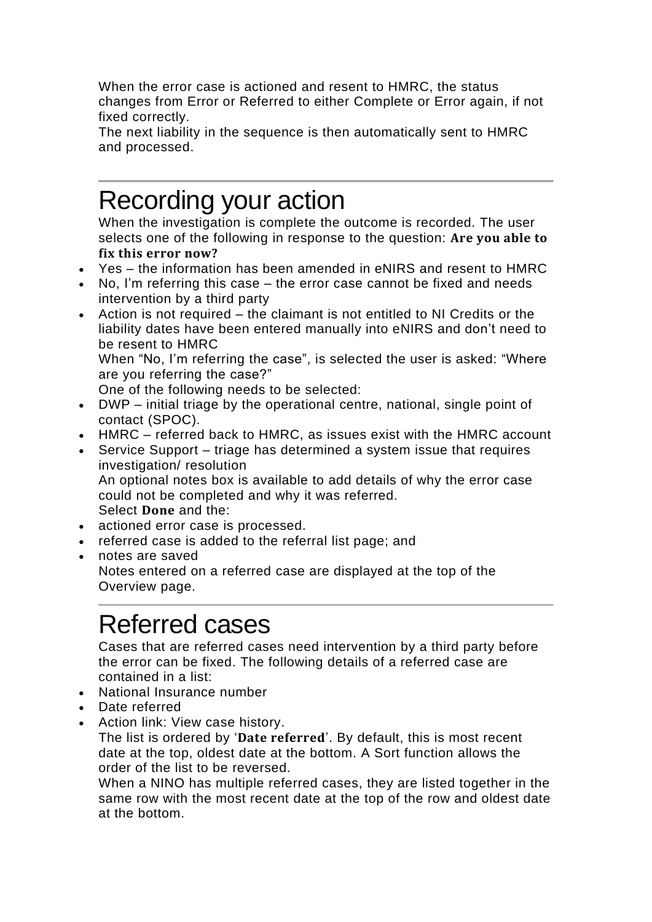When the error case is actioned and resent to HMRC, the status changes from Error or Referred to either Complete or Error again, if not fixed correctly.

The next liability in the sequence is then automatically sent to HMRC and processed.

#### Recording your action

When the investigation is complete the outcome is recorded. The user selects one of the following in response to the question: **Are you able to fix this error now?**

- Yes the information has been amended in eNIRS and resent to HMRC
- No, I'm referring this case the error case cannot be fixed and needs intervention by a third party
- Action is not required the claimant is not entitled to NI Credits or the liability dates have been entered manually into eNIRS and don't need to be resent to HMRC

When "No, I'm referring the case", is selected the user is asked: "Where are you referring the case?"

One of the following needs to be selected:

- DWP initial triage by the operational centre, national, single point of contact (SPOC).
- HMRC referred back to HMRC, as issues exist with the HMRC account
- Service Support triage has determined a system issue that requires investigation/ resolution An optional notes box is available to add details of why the error case could not be completed and why it was referred. Select **Done** and the:
- actioned error case is processed.
- referred case is added to the referral list page; and
- notes are saved Notes entered on a referred case are displayed at the top of the Overview page.

#### Referred cases

Cases that are referred cases need intervention by a third party before the error can be fixed. The following details of a referred case are contained in a list:

- National Insurance number
- Date referred
- Action link: View case history.

The list is ordered by '**Date referred**'. By default, this is most recent date at the top, oldest date at the bottom. A Sort function allows the order of the list to be reversed.

When a NINO has multiple referred cases, they are listed together in the same row with the most recent date at the top of the row and oldest date at the bottom.